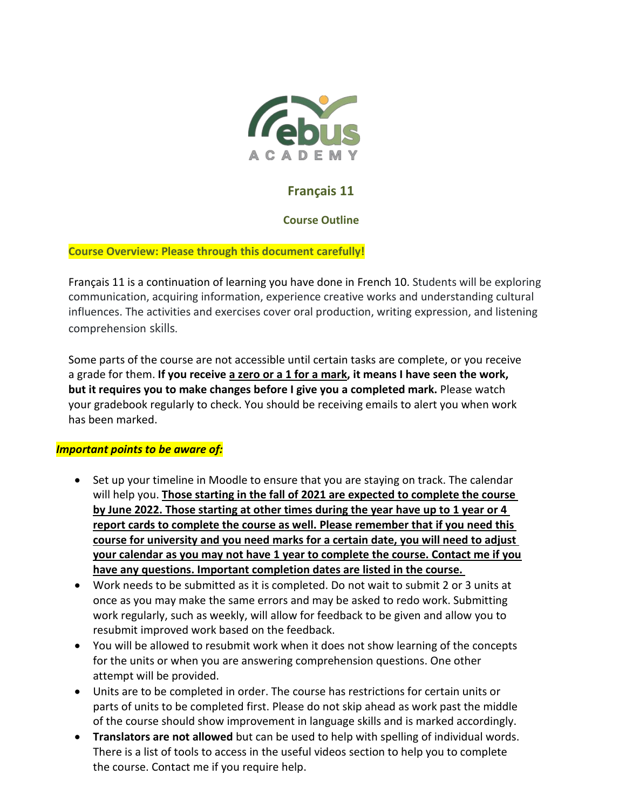

# **Français 11**

## **Course Outline**

## **Course Overview: Please through this document carefully!**

Français 11 is a continuation of learning you have done in French 10. Students will be exploring communication, acquiring information, experience creative works and understanding cultural influences. The activities and exercises cover oral production, writing expression, and listening comprehension skills.

Some parts of the course are not accessible until certain tasks are complete, or you receive a grade for them. **If you receive a zero or a 1 for a mark, it means I have seen the work, but it requires you to make changes before I give you a completed mark.** Please watch your gradebook regularly to check. You should be receiving emails to alert you when work has been marked.

## *Important points to be aware of:*

- Set up your timeline in Moodle to ensure that you are staying on track. The calendar will help you. **Those starting in the fall of 2021 are expected to complete the course by June 2022. Those starting at other times during the year have up to 1 year or 4 report cards to complete the course as well. Please remember that if you need this course for university and you need marks for a certain date, you will need to adjust your calendar as you may not have 1 year to complete the course. Contact me if you have any questions. Important completion dates are listed in the course.**
- Work needs to be submitted as it is completed. Do not wait to submit 2 or 3 units at once as you may make the same errors and may be asked to redo work. Submitting work regularly, such as weekly, will allow for feedback to be given and allow you to resubmit improved work based on the feedback.
- You will be allowed to resubmit work when it does not show learning of the concepts for the units or when you are answering comprehension questions. One other attempt will be provided.
- Units are to be completed in order. The course has restrictions for certain units or parts of units to be completed first. Please do not skip ahead as work past the middle of the course should show improvement in language skills and is marked accordingly.
- **Translators are not allowed** but can be used to help with spelling of individual words. There is a list of tools to access in the useful videos section to help you to complete the course. Contact me if you require help.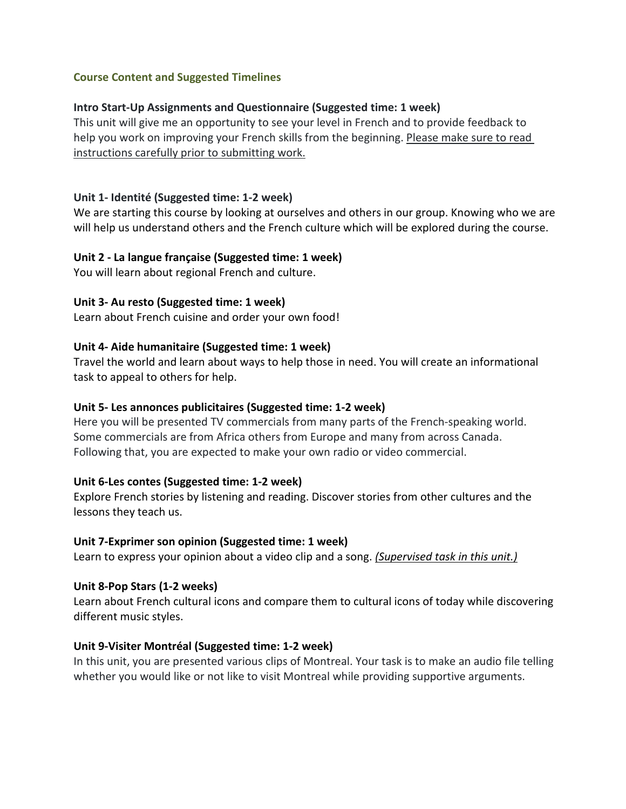## **Course Content and Suggested Timelines**

### **Intro Start-Up Assignments and Questionnaire (Suggested time: 1 week)**

This unit will give me an opportunity to see your level in French and to provide feedback to help you work on improving your French skills from the beginning. Please make sure to read instructions carefully prior to submitting work.

#### **Unit 1- Identité (Suggested time: 1-2 week)**

We are starting this course by looking at ourselves and others in our group. Knowing who we are will help us understand others and the French culture which will be explored during the course.

#### **Unit 2 - La langue française (Suggested time: 1 week)**

You will learn about regional French and culture.

#### **Unit 3- Au resto (Suggested time: 1 week)**

Learn about French cuisine and order your own food!

#### **Unit 4- Aide humanitaire (Suggested time: 1 week)**

Travel the world and learn about ways to help those in need. You will create an informational task to appeal to others for help.

### **Unit 5- Les annonces publicitaires (Suggested time: 1-2 week)**

Here you will be presented TV commercials from many parts of the French-speaking world. Some commercials are from Africa others from Europe and many from across Canada. Following that, you are expected to make your own radio or video commercial.

#### **Unit 6-Les contes (Suggested time: 1-2 week)**

Explore French stories by listening and reading. Discover stories from other cultures and the lessons they teach us.

#### **Unit 7-Exprimer son opinion (Suggested time: 1 week)**

Learn to express your opinion about a video clip and a song. *(Supervised task in this unit.)*

#### **Unit 8-Pop Stars (1-2 weeks)**

Learn about French cultural icons and compare them to cultural icons of today while discovering different music styles.

#### **Unit 9-Visiter Montréal (Suggested time: 1-2 week)**

In this unit, you are presented various clips of Montreal. Your task is to make an audio file telling whether you would like or not like to visit Montreal while providing supportive arguments.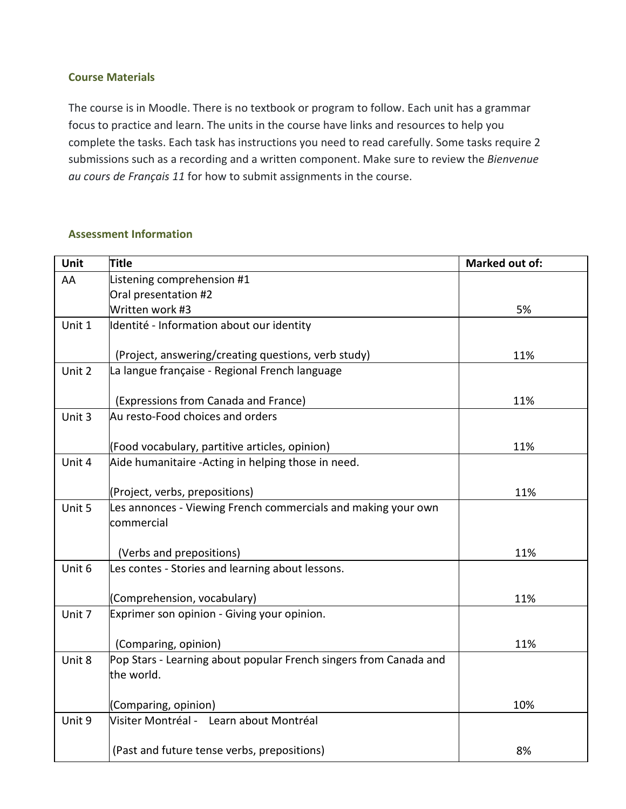## **Course Materials**

The course is in Moodle. There is no textbook or program to follow. Each unit has a grammar focus to practice and learn. The units in the course have links and resources to help you complete the tasks. Each task has instructions you need to read carefully. Some tasks require 2 submissions such as a recording and a written component. Make sure to review the *Bienvenue au cours de Français 11* for how to submit assignments in the course.

#### **Assessment Information**

| Unit   | <b>Title</b>                                                             | <b>Marked out of:</b> |
|--------|--------------------------------------------------------------------------|-----------------------|
| AA     | Listening comprehension #1                                               |                       |
|        | Oral presentation #2                                                     |                       |
|        | Written work #3                                                          | 5%                    |
| Unit 1 | Identité - Information about our identity                                |                       |
|        |                                                                          |                       |
|        | (Project, answering/creating questions, verb study)                      | 11%                   |
| Unit 2 | La langue française - Regional French language                           |                       |
|        |                                                                          |                       |
| Unit 3 | (Expressions from Canada and France)<br>Au resto-Food choices and orders | 11%                   |
|        |                                                                          |                       |
|        | (Food vocabulary, partitive articles, opinion)                           | 11%                   |
| Unit 4 | Aide humanitaire -Acting in helping those in need.                       |                       |
|        |                                                                          |                       |
|        | (Project, verbs, prepositions)                                           | 11%                   |
| Unit 5 | Les annonces - Viewing French commercials and making your own            |                       |
|        | commercial                                                               |                       |
|        |                                                                          |                       |
|        | (Verbs and prepositions)                                                 | 11%                   |
| Unit 6 | Les contes - Stories and learning about lessons.                         |                       |
|        | (Comprehension, vocabulary)                                              | 11%                   |
| Unit 7 | Exprimer son opinion - Giving your opinion.                              |                       |
|        |                                                                          |                       |
|        | (Comparing, opinion)                                                     | 11%                   |
| Unit 8 | Pop Stars - Learning about popular French singers from Canada and        |                       |
|        | the world.                                                               |                       |
|        |                                                                          |                       |
|        | (Comparing, opinion)                                                     | 10%                   |
| Unit 9 | Visiter Montréal - Learn about Montréal                                  |                       |
|        |                                                                          |                       |
|        | (Past and future tense verbs, prepositions)                              | 8%                    |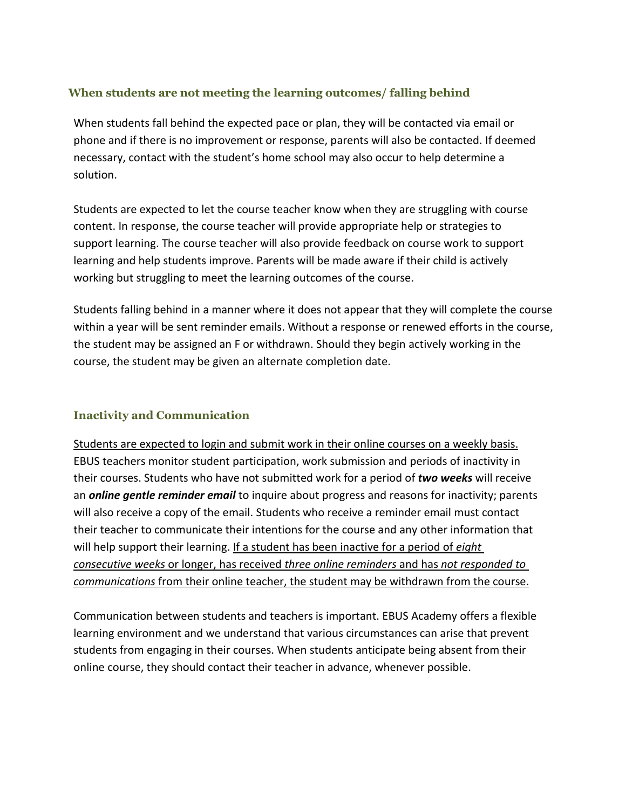## **When students are not meeting the learning outcomes/ falling behind**

When students fall behind the expected pace or plan, they will be contacted via email or phone and if there is no improvement or response, parents will also be contacted. If deemed necessary, contact with the student's home school may also occur to help determine a solution.

Students are expected to let the course teacher know when they are struggling with course content. In response, the course teacher will provide appropriate help or strategies to support learning. The course teacher will also provide feedback on course work to support learning and help students improve. Parents will be made aware if their child is actively working but struggling to meet the learning outcomes of the course.

Students falling behind in a manner where it does not appear that they will complete the course within a year will be sent reminder emails. Without a response or renewed efforts in the course, the student may be assigned an F or withdrawn. Should they begin actively working in the course, the student may be given an alternate completion date.

## **Inactivity and Communication**

Students are expected to login and submit work in their online courses on a weekly basis. EBUS teachers monitor student participation, work submission and periods of inactivity in their courses. Students who have not submitted work for a period of *two weeks* will receive an *online gentle reminder email* to inquire about progress and reasons for inactivity; parents will also receive a copy of the email. Students who receive a reminder email must contact their teacher to communicate their intentions for the course and any other information that will help support their learning. If a student has been inactive for a period of *eight consecutive weeks* or longer, has received *three online reminders* and has *not responded to communications* from their online teacher, the student may be withdrawn from the course.

Communication between students and teachers is important. EBUS Academy offers a flexible learning environment and we understand that various circumstances can arise that prevent students from engaging in their courses. When students anticipate being absent from their online course, they should contact their teacher in advance, whenever possible.